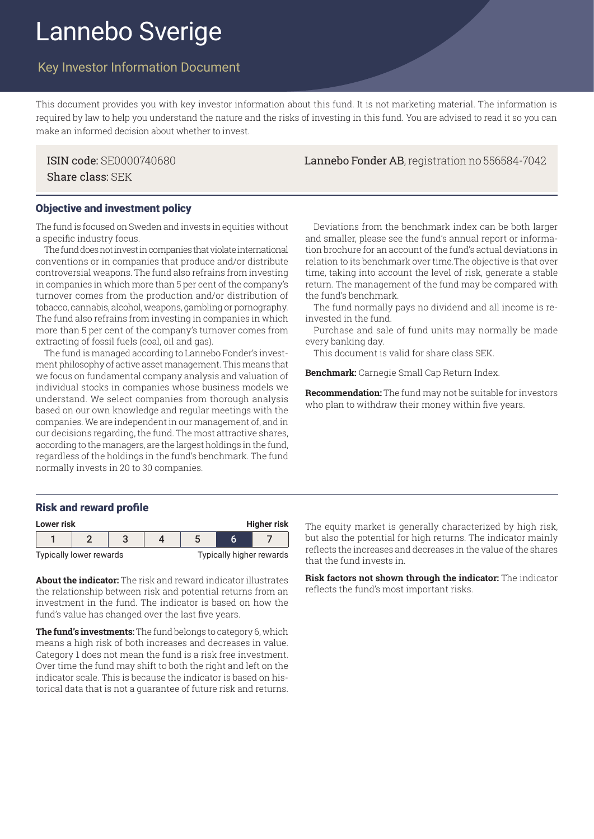# Lannebo Sverige

## Key Investor Information Document

This document provides you with key investor information about this fund. It is not marketing material. The information is required by law to help you understand the nature and the risks of investing in this fund. You are advised to read it so you can make an informed decision about whether to invest.

Share class: SEK

# Objective and investment policy

The fund is focused on Sweden and invests in equities without a specific industry focus.

The fund does not invest in companies that violate international conventions or in companies that produce and/or distribute controversial weapons. The fund also refrains from investing in companies in which more than 5 per cent of the company's turnover comes from the production and/or distribution of tobacco, cannabis, alcohol, weapons, gambling or pornography. The fund also refrains from investing in companies in which more than 5 per cent of the company's turnover comes from extracting of fossil fuels (coal, oil and gas).

The fund is managed according to Lannebo Fonder's investment philosophy of active asset management. This means that we focus on fundamental company analysis and valuation of individual stocks in companies whose business models we understand. We select companies from thorough analysis based on our own knowledge and regular meetings with the companies. We are independent in our management of, and in our decisions regarding, the fund. The most attractive shares, according to the managers, are the largest holdings in the fund, regardless of the holdings in the fund's benchmark. The fund normally invests in 20 to 30 companies.

## ISIN code: SE0000740680 Lannebo Fonder AB, registration no 556584-7042

Deviations from the benchmark index can be both larger and smaller, please see the fund's annual report or information brochure for an account of the fund's actual deviations in relation to its benchmark over time.The objective is that over time, taking into account the level of risk, generate a stable return. The management of the fund may be compared with the fund's benchmark.

The fund normally pays no dividend and all income is reinvested in the fund.

Purchase and sale of fund units may normally be made every banking day.

This document is valid for share class SEK.

**Benchmark:** Carnegie Small Cap Return Index.

**Recommendation:** The fund may not be suitable for investors who plan to withdraw their money within five years.

#### Risk and reward profile

| <b>Higher risk</b><br>Lower risk |                         |  |  |                                 |  |  |  |
|----------------------------------|-------------------------|--|--|---------------------------------|--|--|--|
|                                  |                         |  |  |                                 |  |  |  |
|                                  | Typically lower rewards |  |  | <b>Typically higher rewards</b> |  |  |  |

**About the indicator:** The risk and reward indicator illustrates the relationship between risk and potential returns from an investment in the fund. The indicator is based on how the fund's value has changed over the last five years.

**The fund's investments:** The fund belongs to category 6, which means a high risk of both increases and decreases in value. Category 1 does not mean the fund is a risk free investment. Over time the fund may shift to both the right and left on the indicator scale. This is because the indicator is based on historical data that is not a guarantee of future risk and returns. The equity market is generally characterized by high risk, but also the potential for high returns. The indicator mainly reflects the increases and decreases in the value of the shares that the fund invests in.

**Risk factors not shown through the indicator:** The indicator reflects the fund's most important risks.